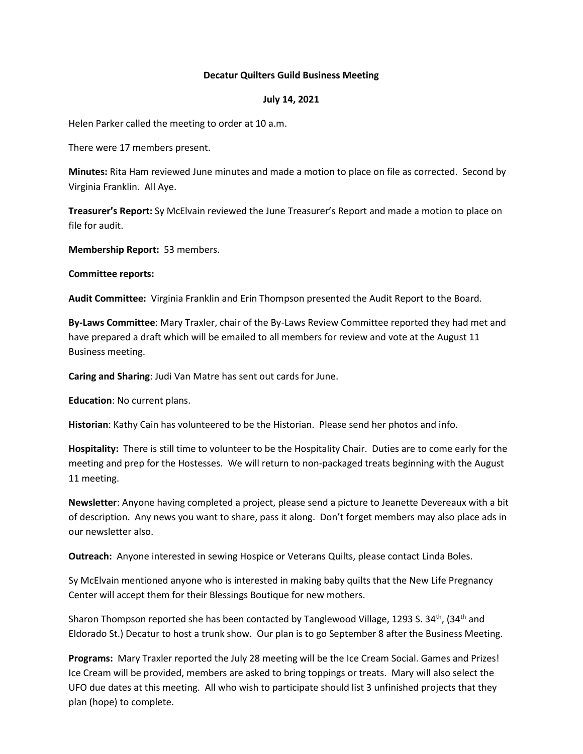## **Decatur Quilters Guild Business Meeting**

## **July 14, 2021**

Helen Parker called the meeting to order at 10 a.m.

There were 17 members present.

**Minutes:** Rita Ham reviewed June minutes and made a motion to place on file as corrected. Second by Virginia Franklin. All Aye.

**Treasurer's Report:** Sy McElvain reviewed the June Treasurer's Report and made a motion to place on file for audit.

**Membership Report:** 53 members.

**Committee reports:** 

**Audit Committee:** Virginia Franklin and Erin Thompson presented the Audit Report to the Board.

**By-Laws Committee**: Mary Traxler, chair of the By-Laws Review Committee reported they had met and have prepared a draft which will be emailed to all members for review and vote at the August 11 Business meeting.

**Caring and Sharing**: Judi Van Matre has sent out cards for June.

**Education**: No current plans.

**Historian**: Kathy Cain has volunteered to be the Historian. Please send her photos and info.

**Hospitality:** There is still time to volunteer to be the Hospitality Chair. Duties are to come early for the meeting and prep for the Hostesses. We will return to non-packaged treats beginning with the August 11 meeting.

**Newsletter**: Anyone having completed a project, please send a picture to Jeanette Devereaux with a bit of description. Any news you want to share, pass it along. Don't forget members may also place ads in our newsletter also.

**Outreach:** Anyone interested in sewing Hospice or Veterans Quilts, please contact Linda Boles.

Sy McElvain mentioned anyone who is interested in making baby quilts that the New Life Pregnancy Center will accept them for their Blessings Boutique for new mothers.

Sharon Thompson reported she has been contacted by Tanglewood Village, 1293 S. 34<sup>th</sup>, (34<sup>th</sup> and Eldorado St.) Decatur to host a trunk show. Our plan is to go September 8 after the Business Meeting.

**Programs:** Mary Traxler reported the July 28 meeting will be the Ice Cream Social. Games and Prizes! Ice Cream will be provided, members are asked to bring toppings or treats. Mary will also select the UFO due dates at this meeting. All who wish to participate should list 3 unfinished projects that they plan (hope) to complete.